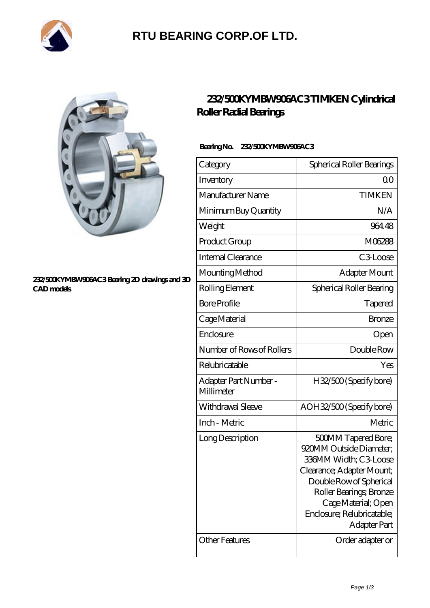

### **[RTU BEARING CORP.OF LTD.](https://arkcalledearth.org)**



#### **[232/500KYMBW906AC3 Bearing 2D drawings and 3D](https://arkcalledearth.org/pic-630172.html) [CAD models](https://arkcalledearth.org/pic-630172.html)**

### **[232/500KYMBW906AC3 TIMKEN Cylindrical](https://arkcalledearth.org/cylindrical-roller-radial-bearings/232-500kymbw906ac3.html) [Roller Radial Bearings](https://arkcalledearth.org/cylindrical-roller-radial-bearings/232-500kymbw906ac3.html)**

### **Bearing No. 232/500KYMBW906AC3**

| Category                           | Spherical Roller Bearings                                                                                                                                                                                                                     |
|------------------------------------|-----------------------------------------------------------------------------------------------------------------------------------------------------------------------------------------------------------------------------------------------|
| Inventory                          | Q0                                                                                                                                                                                                                                            |
| Manufacturer Name                  | <b>TIMKEN</b>                                                                                                                                                                                                                                 |
| Minimum Buy Quantity               | N/A                                                                                                                                                                                                                                           |
| Weight                             | 964.48                                                                                                                                                                                                                                        |
| Product Group                      | M06288                                                                                                                                                                                                                                        |
| Internal Clearance                 | C3Loose                                                                                                                                                                                                                                       |
| Mounting Method                    | Adapter Mount                                                                                                                                                                                                                                 |
| Rolling Element                    | Spherical Roller Bearing                                                                                                                                                                                                                      |
| <b>Bore Profile</b>                | Tapered                                                                                                                                                                                                                                       |
| Cage Material                      | <b>Bronze</b>                                                                                                                                                                                                                                 |
| Enclosure                          | Open                                                                                                                                                                                                                                          |
| Number of Rows of Rollers          | Double Row                                                                                                                                                                                                                                    |
| Relubricatable                     | Yes                                                                                                                                                                                                                                           |
| Adapter Part Number-<br>Millimeter | H32/500 (Specify bore)                                                                                                                                                                                                                        |
| Withdrawal Sleeve                  | AOH32/500 (Specify bore)                                                                                                                                                                                                                      |
| Inch - Metric                      | Metric                                                                                                                                                                                                                                        |
| Long Description                   | <b>500MM Tapered Bore;</b><br>920MM Outside Diameter;<br>336MM Width; C3 Loose<br>Clearance; Adapter Mount;<br>Double Row of Spherical<br>Roller Bearings, Bronze<br>Cage Material; Open<br>Enclosure; Relubricatable;<br><b>Adapter Part</b> |
| Other Features                     | Order adapter or                                                                                                                                                                                                                              |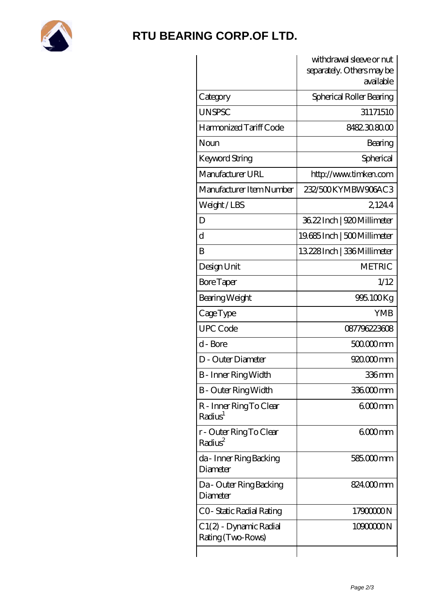

## **[RTU BEARING CORP.OF LTD.](https://arkcalledearth.org)**

|                                                | withdrawal sleeve or nut               |
|------------------------------------------------|----------------------------------------|
|                                                | separately. Others may be<br>available |
|                                                |                                        |
| Category                                       | Spherical Roller Bearing               |
| <b>UNSPSC</b>                                  | 31171510                               |
| Harmonized Tariff Code                         | 8482308000                             |
| Noun                                           | Bearing                                |
| Keyword String                                 | Spherical                              |
| Manufacturer URL                               | http://www.timken.com                  |
| Manufacturer Item Number                       | 232/500KYMBW906AC3                     |
| Weight/LBS                                     | 21244                                  |
| D                                              | 36.22 Inch   920 Millimeter            |
| $\mathbf d$                                    | 19685 Inch   500 Millimeter            |
| B                                              | 13.228 Inch   336 Millimeter           |
| Design Unit                                    | <b>METRIC</b>                          |
| <b>Bore Taper</b>                              | 1/12                                   |
| Bearing Weight                                 | 995.100Kg                              |
| CageType                                       | <b>YMB</b>                             |
| <b>UPC Code</b>                                | 087796223608                           |
| d - Bore                                       | 500000mm                               |
| D - Outer Diameter                             | 920.000 mm                             |
| <b>B</b> - Inner Ring Width                    | 336mm                                  |
| B - Outer Ring Width                           | 336000mm                               |
| R - Inner Ring To Clear<br>Radius <sup>1</sup> | 600mm                                  |
| r - Outer Ring To Clear<br>Radius <sup>2</sup> | 600mm                                  |
| da - Inner Ring Backing<br>Diameter            | 585.000 mm                             |
| Da - Outer Ring Backing<br>Diameter            | 824.000mm                              |
| CO-Static Radial Rating                        | 1790000N                               |
| C 1(2) - Dynamic Radial<br>Rating (Two-Rows)   | 1090000N                               |
|                                                |                                        |